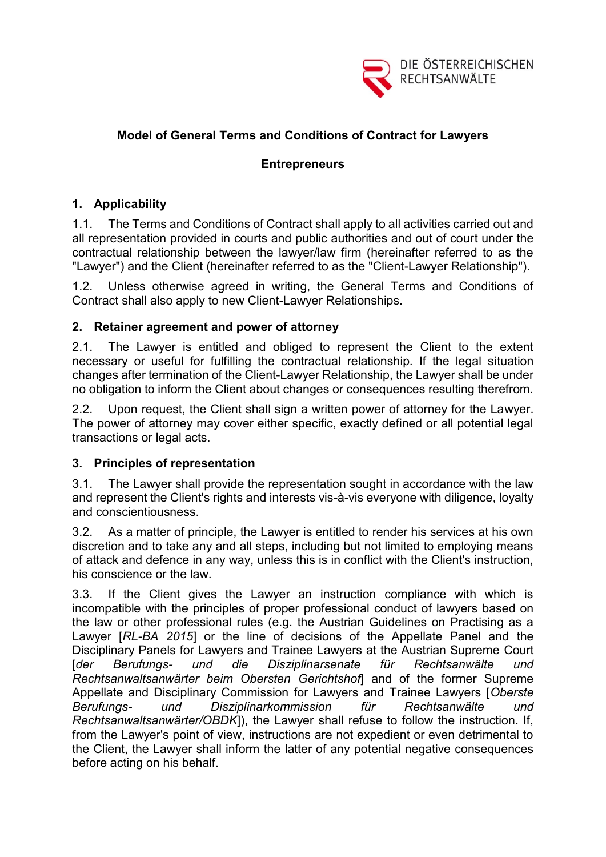

# **Model of General Terms and Conditions of Contract for Lawyers**

## **Entrepreneurs**

# **1. Applicability**

1.1. The Terms and Conditions of Contract shall apply to all activities carried out and all representation provided in courts and public authorities and out of court under the contractual relationship between the lawyer/law firm (hereinafter referred to as the "Lawyer") and the Client (hereinafter referred to as the "Client-Lawyer Relationship").

1.2. Unless otherwise agreed in writing, the General Terms and Conditions of Contract shall also apply to new Client-Lawyer Relationships.

## **2. Retainer agreement and power of attorney**

2.1. The Lawyer is entitled and obliged to represent the Client to the extent necessary or useful for fulfilling the contractual relationship. If the legal situation changes after termination of the Client-Lawyer Relationship, the Lawyer shall be under no obligation to inform the Client about changes or consequences resulting therefrom.

2.2. Upon request, the Client shall sign a written power of attorney for the Lawyer. The power of attorney may cover either specific, exactly defined or all potential legal transactions or legal acts.

#### **3. Principles of representation**

3.1. The Lawyer shall provide the representation sought in accordance with the law and represent the Client's rights and interests vis-à-vis everyone with diligence, loyalty and conscientiousness.

3.2. As a matter of principle, the Lawyer is entitled to render his services at his own discretion and to take any and all steps, including but not limited to employing means of attack and defence in any way, unless this is in conflict with the Client's instruction, his conscience or the law.

3.3. If the Client gives the Lawyer an instruction compliance with which is incompatible with the principles of proper professional conduct of lawyers based on the law or other professional rules (e.g. the Austrian Guidelines on Practising as a Lawyer [*RL-BA 2015*] or the line of decisions of the Appellate Panel and the Disciplinary Panels for Lawyers and Trainee Lawyers at the Austrian Supreme Court [*der Berufungs- und die Disziplinarsenate für Rechtsanwälte und Rechtsanwaltsanwärter beim Obersten Gerichtshof*] and of the former Supreme Appellate and Disciplinary Commission for Lawyers and Trainee Lawyers [*Oberste Berufungs- und Disziplinarkommission für Rechtsanwälte und Rechtsanwaltsanwärter/OBDK*]), the Lawyer shall refuse to follow the instruction. If, from the Lawyer's point of view, instructions are not expedient or even detrimental to the Client, the Lawyer shall inform the latter of any potential negative consequences before acting on his behalf.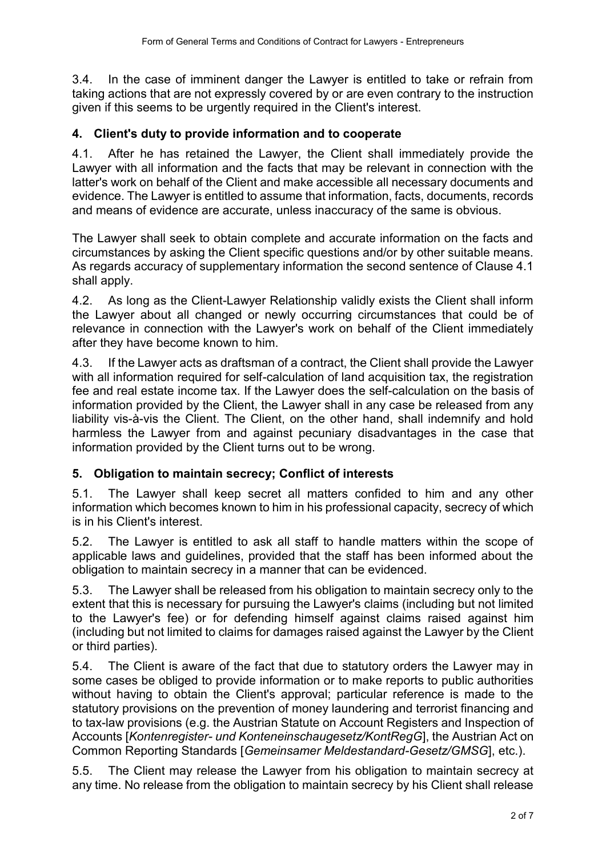3.4. In the case of imminent danger the Lawyer is entitled to take or refrain from taking actions that are not expressly covered by or are even contrary to the instruction given if this seems to be urgently required in the Client's interest.

# **4. Client's duty to provide information and to cooperate**

4.1. After he has retained the Lawyer, the Client shall immediately provide the Lawyer with all information and the facts that may be relevant in connection with the latter's work on behalf of the Client and make accessible all necessary documents and evidence. The Lawyer is entitled to assume that information, facts, documents, records and means of evidence are accurate, unless inaccuracy of the same is obvious.

The Lawyer shall seek to obtain complete and accurate information on the facts and circumstances by asking the Client specific questions and/or by other suitable means. As regards accuracy of supplementary information the second sentence of Clause 4.1 shall apply.

4.2. As long as the Client-Lawyer Relationship validly exists the Client shall inform the Lawyer about all changed or newly occurring circumstances that could be of relevance in connection with the Lawyer's work on behalf of the Client immediately after they have become known to him.

4.3. If the Lawyer acts as draftsman of a contract, the Client shall provide the Lawyer with all information required for self-calculation of land acquisition tax, the registration fee and real estate income tax. If the Lawyer does the self-calculation on the basis of information provided by the Client, the Lawyer shall in any case be released from any liability vis-à-vis the Client. The Client, on the other hand, shall indemnify and hold harmless the Lawyer from and against pecuniary disadvantages in the case that information provided by the Client turns out to be wrong.

# **5. Obligation to maintain secrecy; Conflict of interests**

5.1. The Lawyer shall keep secret all matters confided to him and any other information which becomes known to him in his professional capacity, secrecy of which is in his Client's interest.

5.2. The Lawyer is entitled to ask all staff to handle matters within the scope of applicable laws and guidelines, provided that the staff has been informed about the obligation to maintain secrecy in a manner that can be evidenced.

5.3. The Lawyer shall be released from his obligation to maintain secrecy only to the extent that this is necessary for pursuing the Lawyer's claims (including but not limited to the Lawyer's fee) or for defending himself against claims raised against him (including but not limited to claims for damages raised against the Lawyer by the Client or third parties).

5.4. The Client is aware of the fact that due to statutory orders the Lawyer may in some cases be obliged to provide information or to make reports to public authorities without having to obtain the Client's approval; particular reference is made to the statutory provisions on the prevention of money laundering and terrorist financing and to tax-law provisions (e.g. the Austrian Statute on Account Registers and Inspection of Accounts [*Kontenregister- und Konteneinschaugesetz/KontRegG*], the Austrian Act on Common Reporting Standards [*Gemeinsamer Meldestandard-Gesetz/GMSG*], etc.).

5.5. The Client may release the Lawyer from his obligation to maintain secrecy at any time. No release from the obligation to maintain secrecy by his Client shall release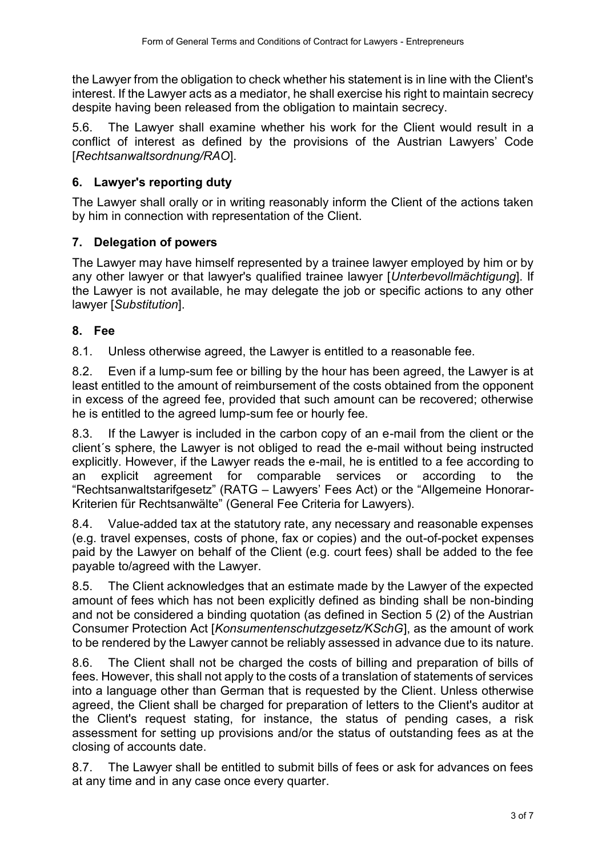the Lawyer from the obligation to check whether his statement is in line with the Client's interest. If the Lawyer acts as a mediator, he shall exercise his right to maintain secrecy despite having been released from the obligation to maintain secrecy.

5.6. The Lawyer shall examine whether his work for the Client would result in a conflict of interest as defined by the provisions of the Austrian Lawyers' Code [*Rechtsanwaltsordnung/RAO*].

# **6. Lawyer's reporting duty**

The Lawyer shall orally or in writing reasonably inform the Client of the actions taken by him in connection with representation of the Client.

# **7. Delegation of powers**

The Lawyer may have himself represented by a trainee lawyer employed by him or by any other lawyer or that lawyer's qualified trainee lawyer [*Unterbevollmächtigung*]. If the Lawyer is not available, he may delegate the job or specific actions to any other lawyer [*Substitution*].

# **8. Fee**

8.1. Unless otherwise agreed, the Lawyer is entitled to a reasonable fee.

8.2. Even if a lump-sum fee or billing by the hour has been agreed, the Lawyer is at least entitled to the amount of reimbursement of the costs obtained from the opponent in excess of the agreed fee, provided that such amount can be recovered; otherwise he is entitled to the agreed lump-sum fee or hourly fee.

8.3. If the Lawyer is included in the carbon copy of an e-mail from the client or the client´s sphere, the Lawyer is not obliged to read the e-mail without being instructed explicitly. However, if the Lawyer reads the e-mail, he is entitled to a fee according to an explicit agreement for comparable services or according to the "Rechtsanwaltstarifgesetz" (RATG – Lawyers' Fees Act) or the "Allgemeine Honorar-Kriterien für Rechtsanwälte" (General Fee Criteria for Lawyers).

8.4. Value-added tax at the statutory rate, any necessary and reasonable expenses (e.g. travel expenses, costs of phone, fax or copies) and the out-of-pocket expenses paid by the Lawyer on behalf of the Client (e.g. court fees) shall be added to the fee payable to/agreed with the Lawyer.

8.5. The Client acknowledges that an estimate made by the Lawyer of the expected amount of fees which has not been explicitly defined as binding shall be non-binding and not be considered a binding quotation (as defined in Section 5 (2) of the Austrian Consumer Protection Act [*Konsumentenschutzgesetz/KSchG*], as the amount of work to be rendered by the Lawyer cannot be reliably assessed in advance due to its nature.

8.6. The Client shall not be charged the costs of billing and preparation of bills of fees. However, this shall not apply to the costs of a translation of statements of services into a language other than German that is requested by the Client. Unless otherwise agreed, the Client shall be charged for preparation of letters to the Client's auditor at the Client's request stating, for instance, the status of pending cases, a risk assessment for setting up provisions and/or the status of outstanding fees as at the closing of accounts date.

8.7. The Lawyer shall be entitled to submit bills of fees or ask for advances on fees at any time and in any case once every quarter.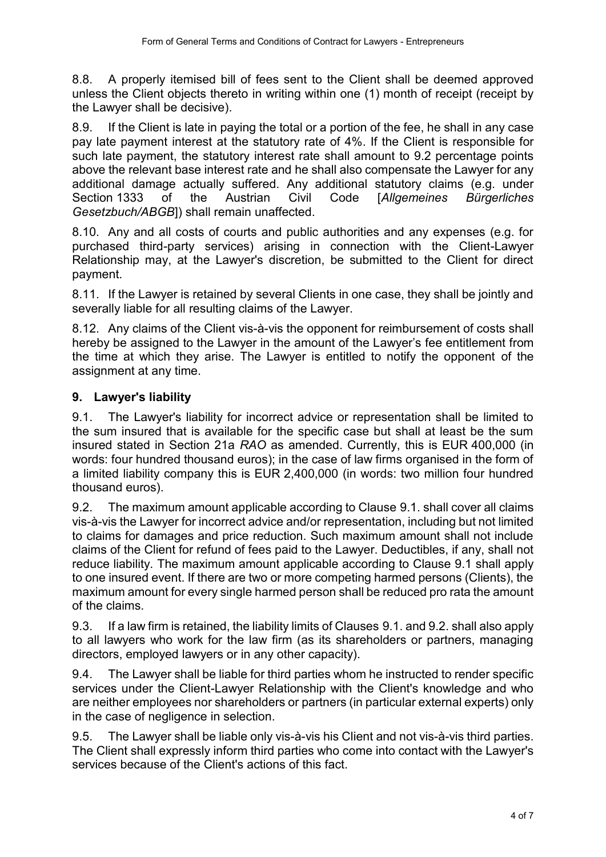8.8. A properly itemised bill of fees sent to the Client shall be deemed approved unless the Client objects thereto in writing within one (1) month of receipt (receipt by the Lawyer shall be decisive).

8.9. If the Client is late in paying the total or a portion of the fee, he shall in any case pay late payment interest at the statutory rate of 4%. If the Client is responsible for such late payment, the statutory interest rate shall amount to 9.2 percentage points above the relevant base interest rate and he shall also compensate the Lawyer for any additional damage actually suffered. Any additional statutory claims (e.g. under Section 1333 of the Austrian Civil Code [*Allgemeines Bürgerliches Gesetzbuch/ABGB*]) shall remain unaffected.

8.10. Any and all costs of courts and public authorities and any expenses (e.g. for purchased third-party services) arising in connection with the Client-Lawyer Relationship may, at the Lawyer's discretion, be submitted to the Client for direct payment.

8.11. If the Lawyer is retained by several Clients in one case, they shall be jointly and severally liable for all resulting claims of the Lawyer.

8.12. Any claims of the Client vis-à-vis the opponent for reimbursement of costs shall hereby be assigned to the Lawyer in the amount of the Lawyer's fee entitlement from the time at which they arise. The Lawyer is entitled to notify the opponent of the assignment at any time.

# **9. Lawyer's liability**

9.1. The Lawyer's liability for incorrect advice or representation shall be limited to the sum insured that is available for the specific case but shall at least be the sum insured stated in Section 21a *RAO* as amended. Currently, this is EUR 400,000 (in words: four hundred thousand euros); in the case of law firms organised in the form of a limited liability company this is EUR 2,400,000 (in words: two million four hundred thousand euros).

9.2. The maximum amount applicable according to Clause 9.1. shall cover all claims vis-à-vis the Lawyer for incorrect advice and/or representation, including but not limited to claims for damages and price reduction. Such maximum amount shall not include claims of the Client for refund of fees paid to the Lawyer. Deductibles, if any, shall not reduce liability. The maximum amount applicable according to Clause 9.1 shall apply to one insured event. If there are two or more competing harmed persons (Clients), the maximum amount for every single harmed person shall be reduced pro rata the amount of the claims.

9.3. If a law firm is retained, the liability limits of Clauses 9.1. and 9.2. shall also apply to all lawyers who work for the law firm (as its shareholders or partners, managing directors, employed lawyers or in any other capacity).

9.4. The Lawyer shall be liable for third parties whom he instructed to render specific services under the Client-Lawyer Relationship with the Client's knowledge and who are neither employees nor shareholders or partners (in particular external experts) only in the case of negligence in selection.

9.5. The Lawyer shall be liable only vis-à-vis his Client and not vis-à-vis third parties. The Client shall expressly inform third parties who come into contact with the Lawyer's services because of the Client's actions of this fact.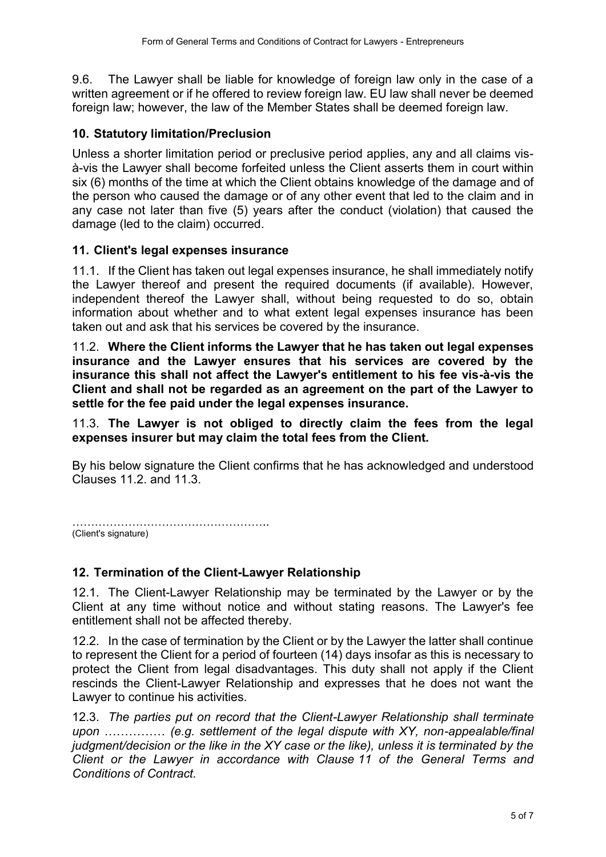9.6. The Lawyer shall be liable for knowledge of foreign law only in the case of a written agreement or if he offered to review foreign law. EU law shall never be deemed foreign law; however, the law of the Member States shall be deemed foreign law.

## **10. Statutory limitation/Preclusion**

Unless a shorter limitation period or preclusive period applies, any and all claims visà-vis the Lawyer shall become forfeited unless the Client asserts them in court within six (6) months of the time at which the Client obtains knowledge of the damage and of the person who caused the damage or of any other event that led to the claim and in any case not later than five (5) years after the conduct (violation) that caused the damage (led to the claim) occurred.

## **11. Client's legal expenses insurance**

11.1. If the Client has taken out legal expenses insurance, he shall immediately notify the Lawyer thereof and present the required documents (if available). However, independent thereof the Lawyer shall, without being requested to do so, obtain information about whether and to what extent legal expenses insurance has been taken out and ask that his services be covered by the insurance.

11.2. **Where the Client informs the Lawyer that he has taken out legal expenses insurance and the Lawyer ensures that his services are covered by the insurance this shall not affect the Lawyer's entitlement to his fee vis-à-vis the Client and shall not be regarded as an agreement on the part of the Lawyer to settle for the fee paid under the legal expenses insurance.** 

11.3. **The Lawyer is not obliged to directly claim the fees from the legal expenses insurer but may claim the total fees from the Client.**

By his below signature the Client confirms that he has acknowledged and understood Clauses 11.2. and 11.3.

…………………………………………….. (Client's signature)

#### **12. Termination of the Client-Lawyer Relationship**

12.1. The Client-Lawyer Relationship may be terminated by the Lawyer or by the Client at any time without notice and without stating reasons. The Lawyer's fee entitlement shall not be affected thereby.

12.2. In the case of termination by the Client or by the Lawyer the latter shall continue to represent the Client for a period of fourteen (14) days insofar as this is necessary to protect the Client from legal disadvantages. This duty shall not apply if the Client rescinds the Client-Lawyer Relationship and expresses that he does not want the Lawyer to continue his activities.

12.3. *The parties put on record that the Client-Lawyer Relationship shall terminate upon* …………… *(e.g. settlement of the legal dispute with XY, non-appealable/final judgment/decision or the like in the XY case or the like), unless it is terminated by the Client or the Lawyer in accordance with Clause 11 of the General Terms and Conditions of Contract.*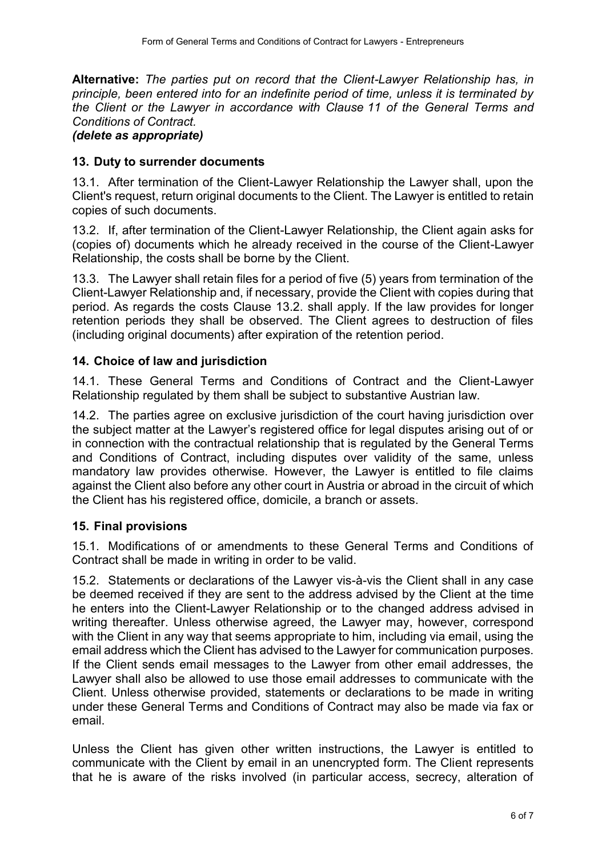**Alternative:** *The parties put on record that the Client-Lawyer Relationship has, in principle, been entered into for an indefinite period of time, unless it is terminated by the Client or the Lawyer in accordance with Clause 11 of the General Terms and Conditions of Contract.*

#### *(delete as appropriate)*

## **13. Duty to surrender documents**

13.1. After termination of the Client-Lawyer Relationship the Lawyer shall, upon the Client's request, return original documents to the Client. The Lawyer is entitled to retain copies of such documents.

13.2. If, after termination of the Client-Lawyer Relationship, the Client again asks for (copies of) documents which he already received in the course of the Client-Lawyer Relationship, the costs shall be borne by the Client.

13.3. The Lawyer shall retain files for a period of five (5) years from termination of the Client-Lawyer Relationship and, if necessary, provide the Client with copies during that period. As regards the costs Clause 13.2. shall apply. If the law provides for longer retention periods they shall be observed. The Client agrees to destruction of files (including original documents) after expiration of the retention period.

## **14. Choice of law and jurisdiction**

14.1. These General Terms and Conditions of Contract and the Client-Lawyer Relationship regulated by them shall be subject to substantive Austrian law.

14.2. The parties agree on exclusive jurisdiction of the court having jurisdiction over the subject matter at the Lawyer's registered office for legal disputes arising out of or in connection with the contractual relationship that is regulated by the General Terms and Conditions of Contract, including disputes over validity of the same, unless mandatory law provides otherwise. However, the Lawyer is entitled to file claims against the Client also before any other court in Austria or abroad in the circuit of which the Client has his registered office, domicile, a branch or assets.

# **15. Final provisions**

15.1. Modifications of or amendments to these General Terms and Conditions of Contract shall be made in writing in order to be valid.

15.2. Statements or declarations of the Lawyer vis-à-vis the Client shall in any case be deemed received if they are sent to the address advised by the Client at the time he enters into the Client-Lawyer Relationship or to the changed address advised in writing thereafter. Unless otherwise agreed, the Lawyer may, however, correspond with the Client in any way that seems appropriate to him, including via email, using the email address which the Client has advised to the Lawyer for communication purposes. If the Client sends email messages to the Lawyer from other email addresses, the Lawyer shall also be allowed to use those email addresses to communicate with the Client. Unless otherwise provided, statements or declarations to be made in writing under these General Terms and Conditions of Contract may also be made via fax or email.

Unless the Client has given other written instructions, the Lawyer is entitled to communicate with the Client by email in an unencrypted form. The Client represents that he is aware of the risks involved (in particular access, secrecy, alteration of